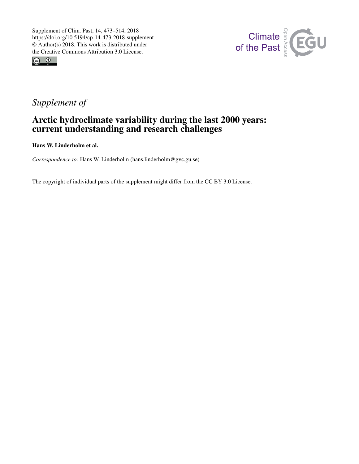



## *Supplement of*

## Arctic hydroclimate variability during the last 2000 years: current understanding and research challenges

Hans W. Linderholm et al.

*Correspondence to:* Hans W. Linderholm (hans.linderholm@gvc.gu.se)

The copyright of individual parts of the supplement might differ from the CC BY 3.0 License.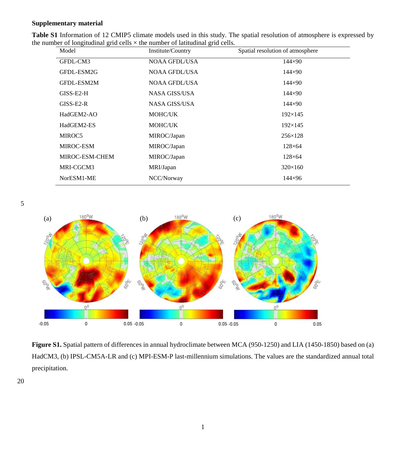## **Supplementary material**

| Table S1 Information of 12 CMIP5 climate models used in this study. The spatial resolution of atmosphere is expressed by |  |
|--------------------------------------------------------------------------------------------------------------------------|--|
| the number of longitudinal grid cells $\times$ the number of latitudinal grid cells.                                     |  |

| Model          | Institute/Country    | Spatial resolution of atmosphere |
|----------------|----------------------|----------------------------------|
| GFDL-CM3       | <b>NOAA GFDL/USA</b> | $144 \times 90$                  |
| GFDL-ESM2G     | <b>NOAA GFDL/USA</b> | $144 \times 90$                  |
| GFDL-ESM2M     | NOAA GFDL/USA        | $144 \times 90$                  |
| $GISS-E2-H$    | NASA GISS/USA        | $144 \times 90$                  |
| $GISS-E2-R$    | NASA GISS/USA        | $144 \times 90$                  |
| HadGEM2-AO     | <b>MOHC/UK</b>       | $192\times 145$                  |
| HadGEM2-ES     | MOHC/UK              | $192\times 145$                  |
| MIROC5         | MIROC/Japan          | $256 \times 128$                 |
| MIROC-ESM      | MIROC/Japan          | $128\times 64$                   |
| MIROC-ESM-CHEM | MIROC/Japan          | $128\times 64$                   |
| MRI-CGCM3      | MRI/Japan            | $320\times160$                   |
| NorESM1-ME     | NCC/Norway           | $144 \times 96$                  |

5



**Figure S1.** Spatial pattern of differences in annual hydroclimate between MCA (950-1250) and LIA (1450-1850) based on (a) HadCM3, (b) IPSL-CM5A-LR and (c) MPI-ESM-P last-millennium simulations. The values are the standardized annual total precipitation.

20